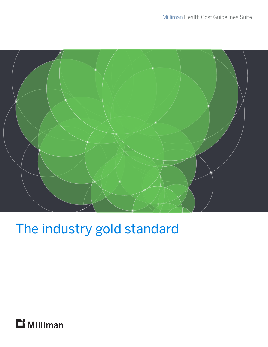

# The industry gold standard

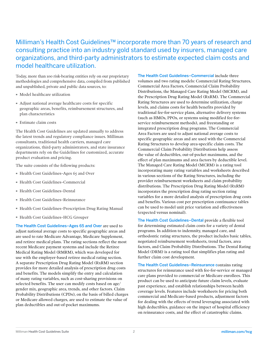#### Milliman's Health Cost Guidelines™ incorporate more than 70 years of research and consulting practice into an industry gold standard used by insurers, managed care organizations, and third-party administrators to estimate expected claim costs and model healthcare utilization.

Today, more than 100 risk-bearing entities rely on our proprietary methodologies and comprehensive data, compiled from published and unpublished, private and public data sources, to:

- · Model healthcare utilization
- · Adjust national average healthcare costs for specific geographic areas, benefits, reimbursement structures, and plan characteristics
- · Estimate claim costs

The Health Cost Guidelines are updated annually to address the latest trends and regulatory compliance issues. Milliman consultants, traditional health carriers, managed care organizations, third-party administrators, and state insurance departments rely on the Guidelines for customized, accurate product evaluation and pricing.

The suite consists of the following products:

- · Health Cost Guidelines–Ages 65 and Over
- · Health Cost Guidelines–Commercial
- · Health Cost Guidelines–Dental
- · Health Cost Guidelines–Reinsurance
- · Health Cost Guidelines–Prescription Drug Rating Manual
- · Health Cost Guidelines–HCG Grouper

The Health Cost Guidelines–Ages 65 and Over are used to adjust national average costs to specific geographic areas and are used to rate Medicare Advantage, Medicare Supplement, and retiree medical plans. The rating sections reflect the most recent Medicare payment systems and include the Retiree Medical Rating Model (RMRM), which was developed for use with the employer-based retiree medical rating section. A separate Prescription Drug Rating Model (RxRM) section provides for more detailed analysis of prescription drug costs and benefits. The models simplify the entry and calculation of many rating variables, such as cost-sharing provisions on selected benefits. The user can modify costs based on age/ gender mix, geographic area, trends, and other factors. Claim Probability Distributions (CPDs), on the basis of billed charges or Medicare allowed charges, are used to estimate the value of plan deductibles and out-of-pocket maximums.

The Health Cost Guidelines–Commercial include three volumes and two rating models: Commercial Rating Structures, Commercial Area Factors, Commercial Claim Probability Distributions, the Managed Care Rating Model (MCRM), and the Prescription Drug Rating Model (RxRM). The Commercial Rating Structures are used to determine utilization, charge levels, and claims costs for health benefits provided by traditional fee-for-service plans, alternative delivery systems (such as HMOs, PPOs, or systems using modified fee-forservice reimbursement methods), and freestanding or integrated prescription drug programs. The Commercial Area Factors are used to adjust national average costs to specific geographic areas and are used with the Commercial Rating Structures to develop area-specific claim costs. The Commercial Claim Probability Distributions help assess the value of deductibles, out-of-pocket maximums, and the effect of plan maximums and area factors by deductible level. The Managed Care Rating Model (MCRM) is a rating tool incorporating many rating variables and worksheets described in various sections of the Rating Structures, including the provider reimbursement worksheets and claim probability distributions. The Prescription Drug Rating Model (RxRM) incorporates the prescription drug rating section rating variables for a more detailed analysis of prescription drug costs and benefits. Various cost per prescription continuance tables can be used to model unit price variation and effectiveness (expected versus nominal).

The Health Cost Guidelines–Dental provide a flexible tool for determining estimated claim costs for a variety of dental programs. In addition to indemnity, managed care, and orthodontic rating structures, the product includes basic tables, negotiated reimbursement worksheets, trend factors, area factors, and Claim Probability Distributions. The Dental Rating Model (DRM) is a rating tool that simplifies plan rating and further claim cost development.

The Health Cost Guidelines–Reinsurance contains rating structures for reinsurance used with fee-for-service or managed care plans provided to commercial or Medicare enrollees. This product can be used to anticipate future claim levels, evaluate past experience, and establish relationships between health coverage levels. Features include worksheets for pricing both commercial and Medicare-based products, adjustment factors for dealing with the effects of trend leveraging associated with high deductibles, guidance on the impact of hospital efficiency on reinsurance costs, and the effect of catastrophic claims.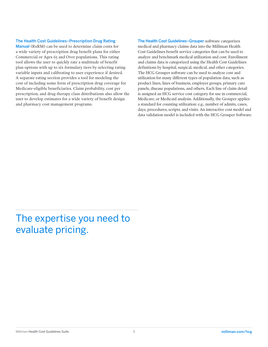#### The Health Cost Guidelines–Prescription Drug Rating

Manual (RxRM) can be used to determine claim costs for a wide variety of prescription drug benefit plans for either Commercial or Ages 65 and Over populations. This rating tool allows the user to quickly rate a multitude of benefit plan options with up to six formulary tiers by selecting rating variable inputs and calibrating to user experience if desired. A separate rating section provides a tool for modeling the cost of including some form of prescription drug coverage for Medicare-eligible beneficiaries. Claim probability, cost per prescription, and drug therapy class distributions also allow the user to develop estimates for a wide variety of benefit design and pharmacy cost management programs.

The Health Cost Guidelines–Grouper software categorizes medical and pharmacy claims data into the Milliman Health Cost Guidelines benefit service categories that can be used to analyze and benchmark medical utilization and cost. Enrollment and claims data is categorized using the Health Cost Guidelines definitions by hospital, surgical, medical, and other categories. The HCG Grouper software can be used to analyze cost and utilization for many different types of population data, such as product lines, lines of business, employer groups, primary care panels, disease populations, and others. Each line of claim detail is assigned an HCG service cost category for use in commercial, Medicare, or Medicaid analysis. Additionally, the Grouper applies a standard for counting utilization: e.g., number of admits, cases, days, procedures, scripts, and visits. An interactive cost model and data validation model is included with the HCG Grouper Software.

### The expertise you need to evaluate pricing.